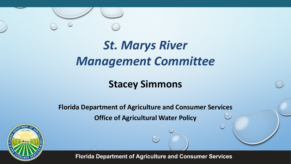

# *St. Marys River Management Committee*

#### **Stacey Simmons**

**Florida Department of Agriculture and Consumer Services Office of Agricultural Water Policy**

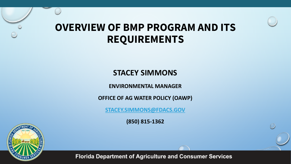### **OVERVIEW OF BMP PROGRAM AND ITS REQUIREMENTS**

#### **STACEY SIMMONS**

**ENVIRONMENTAL MANAGER**

**OFFICE OF AG WATER POLICY (OAWP)** 

**[STACEY.SIMMONS@FDACS.GOV](mailto:Stacey.Simmons@FDACS.GOV)**

**(850) 815-1362**

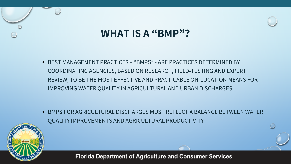### **WHAT IS A "BMP"?**

• BEST MANAGEMENT PRACTICES – "BMPS" - ARE PRACTICES DETERMINED BY COORDINATING AGENCIES, BASED ON RESEARCH, FIELD-TESTING AND EXPERT REVIEW, TO BE THE MOST EFFECTIVE AND PRACTICABLE ON-LOCATION MEANS FOR IMPROVING WATER QUALITY IN AGRICULTURAL AND URBAN DISCHARGES

• BMPS FOR AGRICULTURAL DISCHARGES MUST REFLECT A BALANCE BETWEEN WATER QUALITY IMPROVEMENTS AND AGRICULTURAL PRODUCTIVITY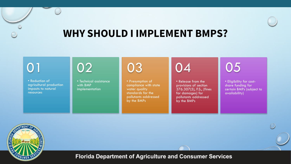

### **WHY SHOULD I IMPLEMENT BMPS?**



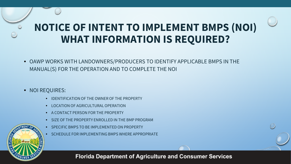## **NOTICE OF INTENT TO IMPLEMENT BMPS (NOI) WHAT INFORMATION IS REQUIRED?**

- OAWP WORKS WITH LANDOWNERS/PRODUCERS TO IDENTIFY APPLICABLE BMPS IN THE MANUAL(S) FOR THE OPERATION AND TO COMPLETE THE NOI
- NOI REQUIRES:
	- IDENTIFICATION OF THE OWNER OF THE PROPERTY
	- **LOCATION OF AGRICULTURAL OPERATION**
	- A CONTACT PERSON FOR THE PROPERTY
	- SIZE OF THE PROPERTY ENROLLED IN THE BMP PROGRAM
	- SPECIFIC BMPS TO BE IMPLEMENTED ON PROPERTY
	- SCHEDULE FOR IMPLEMENTING BMPS WHERE APPROPRIATE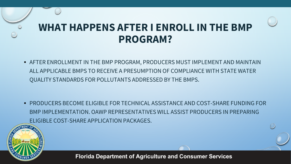### **WHAT HAPPENS AFTER I ENROLL IN THE BMP PROGRAM?**

• AFTER ENROLLMENT IN THE BMP PROGRAM, PRODUCERS MUST IMPLEMENT AND MAINTAIN ALL APPLICABLE BMPS TO RECEIVE A PRESUMPTION OF COMPLIANCE WITH STATE WATER QUALITY STANDARDS FOR POLLUTANTS ADDRESSED BY THE BMPS.

• PRODUCERS BECOME ELIGIBLE FOR TECHNICAL ASSISTANCE AND COST-SHARE FUNDING FOR BMP IMPLEMENTATION. OAWP REPRESENTATIVES WILL ASSIST PRODUCERS IN PREPARING ELIGIBLE COST-SHARE APPLICATION PACKAGES.

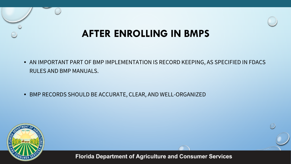### **AFTER ENROLLING IN BMPS**

• AN IMPORTANT PART OF BMP IMPLEMENTATION IS RECORD KEEPING, AS SPECIFIED IN FDACS RULES AND BMP MANUALS.

• BMP RECORDS SHOULD BE ACCURATE, CLEAR, AND WELL-ORGANIZED

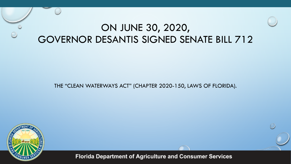### ON JUNE 30, 2020, GOVERNOR DESANTIS SIGNED SENATE BILL 712

#### THE "CLEAN WATERWAYS ACT" (CHAPTER 2020-150, LAWS OF FLORIDA).

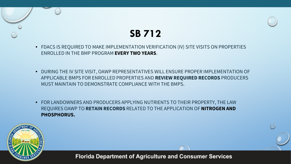### **SB 712**

- FDACS IS REQUIRED TO MAKE IMPLEMENTATION VERIFICATION (IV) SITE VISITS ON PROPERTIES ENROLLED IN THE BMP PROGRAM **EVERY TWO YEARS**.
- DURING THE IV SITE VISIT, OAWP REPRESENTATIVES WILL ENSURE PROPER IMPLEMENTATION OF APPLICABLE BMPS FOR ENROLLED PROPERTIES AND **REVIEW REQUIRED RECORDS** PRODUCERS MUST MAINTAIN TO DEMONSTRATE COMPLIANCE WITH THE BMPS.
- FOR LANDOWNERS AND PRODUCERS APPLYING NUTRIENTS TO THEIR PROPERTY, THE LAW REQUIRES OAWP TO **RETAIN RECORDS** RELATED TO THE APPLICATION OF **NITROGEN AND PHOSPHORUS.**

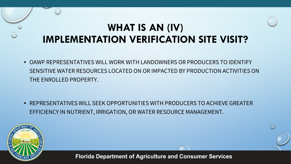### **WHAT IS AN (IV) IMPLEMENTATION VERIFICATION SITE VISIT?**

• OAWP REPRESENTATIVES WILL WORK WITH LANDOWNERS OR PRODUCERS TO IDENTIFY SENSITIVE WATER RESOURCES LOCATED ON OR IMPACTED BY PRODUCTION ACTIVITIES ON THE ENROLLED PROPERTY.

• REPRESENTATIVES WILL SEEK OPPORTUNITIES WITH PRODUCERS TO ACHIEVE GREATER EFFICIENCY IN NUTRIENT, IRRIGATION, OR WATER RESOURCE MANAGEMENT.

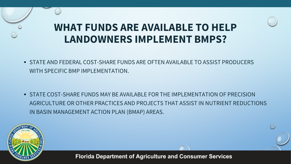### **WHAT FUNDS ARE AVAILABLE TO HELP LANDOWNERS IMPLEMENT BMPS?**

• STATE AND FEDERAL COST-SHARE FUNDS ARE OFTEN AVAILABLE TO ASSIST PRODUCERS WITH SPECIFIC BMP IMPLEMENTATION.

• STATE COST-SHARE FUNDS MAY BE AVAILABLE FOR THE IMPLEMENTATION OF PRECISION AGRICULTURE OR OTHER PRACTICES AND PROJECTS THAT ASSIST IN NUTRIENT REDUCTIONS IN BASIN MANAGEMENT ACTION PLAN (BMAP) AREAS.